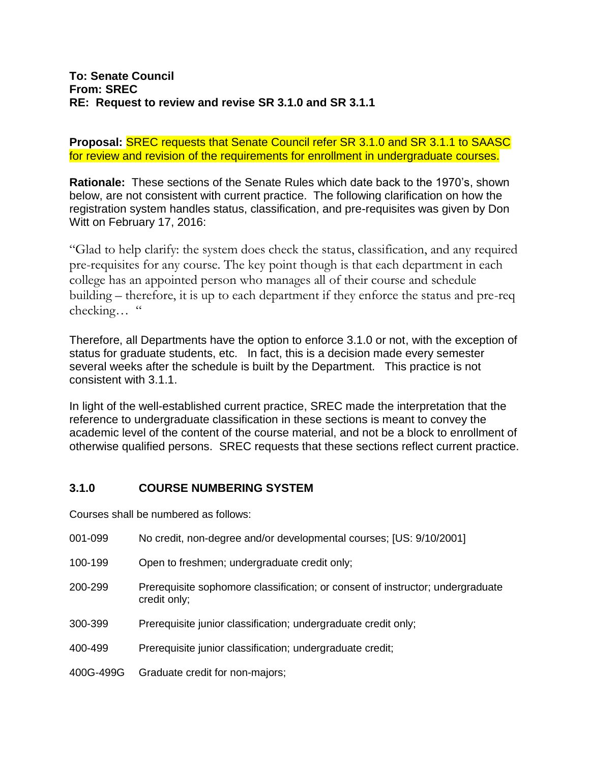**Proposal:** SREC requests that Senate Council refer SR 3.1.0 and SR 3.1.1 to SAASC for review and revision of the requirements for enrollment in undergraduate courses.

**Rationale:** These sections of the Senate Rules which date back to the 1970's, shown below, are not consistent with current practice. The following clarification on how the registration system handles status, classification, and pre-requisites was given by Don Witt on February 17, 2016:

"Glad to help clarify: the system does check the status, classification, and any required pre-requisites for any course. The key point though is that each department in each college has an appointed person who manages all of their course and schedule building – therefore, it is up to each department if they enforce the status and pre-req checking… "

Therefore, all Departments have the option to enforce 3.1.0 or not, with the exception of status for graduate students, etc. In fact, this is a decision made every semester several weeks after the schedule is built by the Department. This practice is not consistent with 3.1.1.

In light of the well-established current practice, SREC made the interpretation that the reference to undergraduate classification in these sections is meant to convey the academic level of the content of the course material, and not be a block to enrollment of otherwise qualified persons. SREC requests that these sections reflect current practice.

## **3.1.0 COURSE NUMBERING SYSTEM**

Courses shall be numbered as follows:

| 001-099   | No credit, non-degree and/or developmental courses; [US: 9/10/2001]                            |
|-----------|------------------------------------------------------------------------------------------------|
| 100-199   | Open to freshmen; undergraduate credit only;                                                   |
| 200-299   | Prerequisite sophomore classification; or consent of instructor; undergraduate<br>credit only; |
| 300-399   | Prerequisite junior classification; undergraduate credit only;                                 |
| 400-499   | Prerequisite junior classification; undergraduate credit;                                      |
| 400G-499G | Graduate credit for non-majors;                                                                |
|           |                                                                                                |